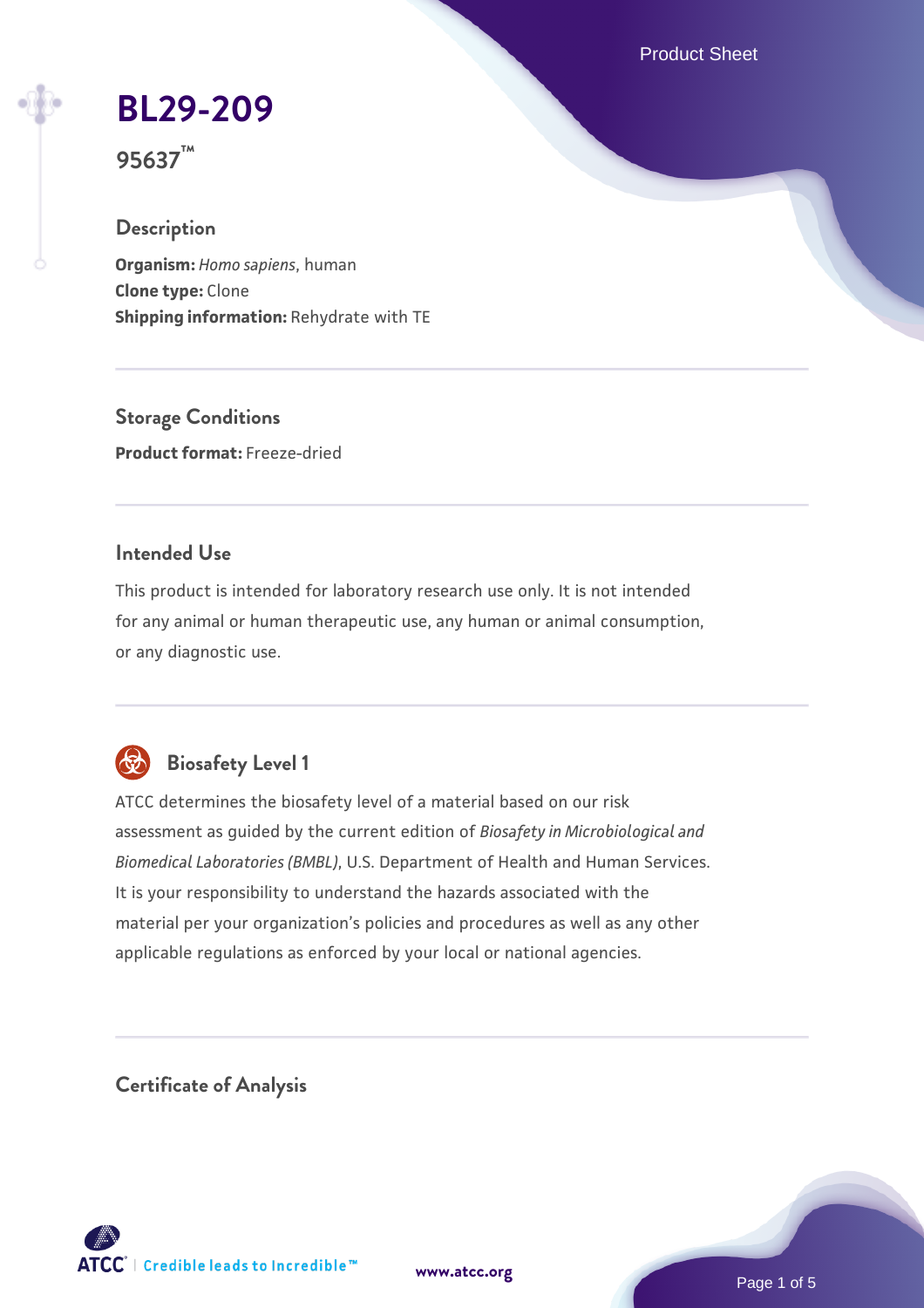Product Sheet

**[BL29-209](https://www.atcc.org/products/95637)**

**95637™**

## **Description**

**Organism:** *Homo sapiens*, human **Clone type:** Clone **Shipping information:** Rehydrate with TE

**Storage Conditions Product format:** Freeze-dried

# **Intended Use**

This product is intended for laboratory research use only. It is not intended for any animal or human therapeutic use, any human or animal consumption, or any diagnostic use.



# **Biosafety Level 1**

ATCC determines the biosafety level of a material based on our risk assessment as guided by the current edition of *Biosafety in Microbiological and Biomedical Laboratories (BMBL)*, U.S. Department of Health and Human Services. It is your responsibility to understand the hazards associated with the material per your organization's policies and procedures as well as any other applicable regulations as enforced by your local or national agencies.

**Certificate of Analysis**

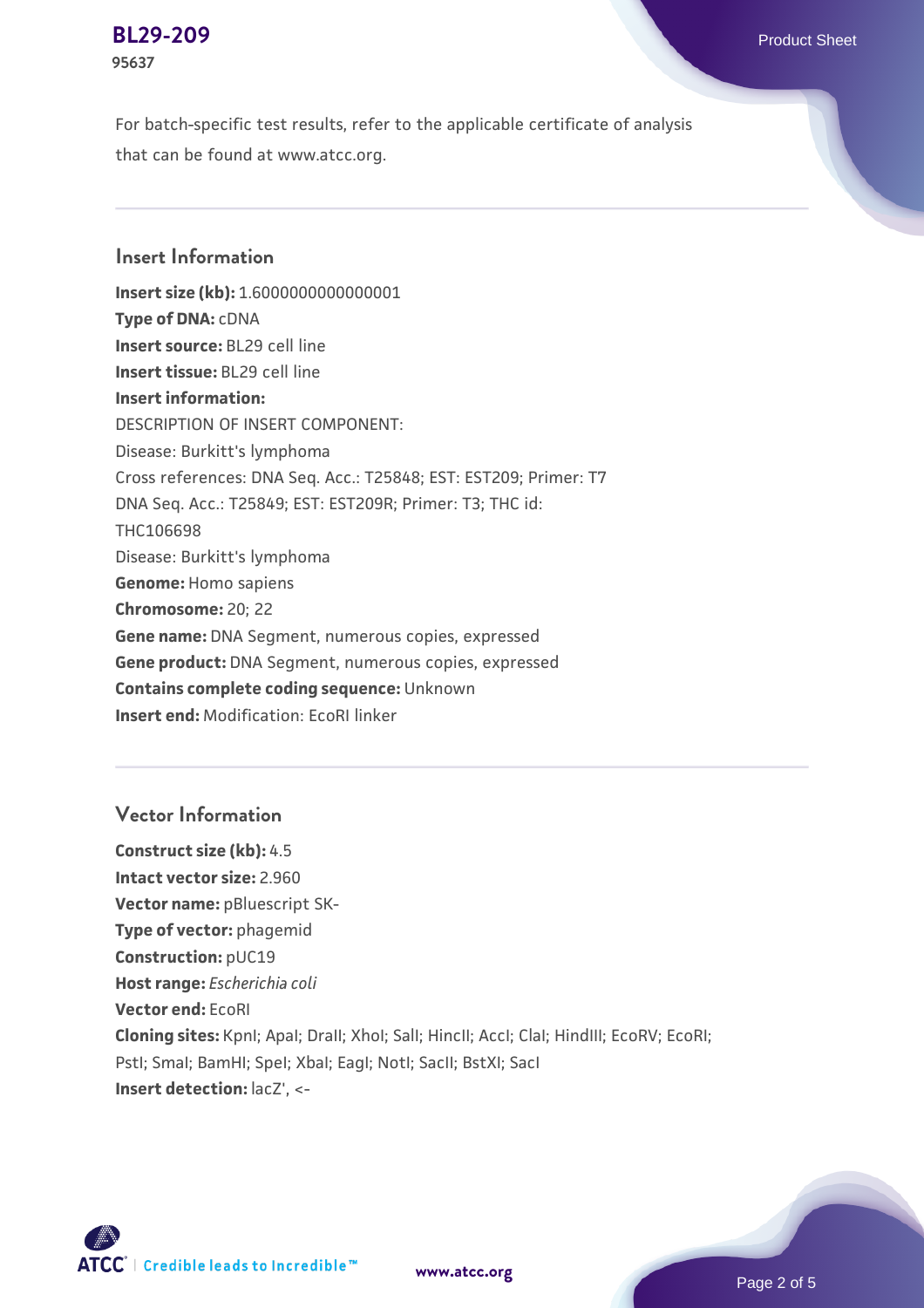#### **[BL29-209](https://www.atcc.org/products/95637)** Product Sheet **95637**

For batch-specific test results, refer to the applicable certificate of analysis that can be found at www.atcc.org.

# **Insert Information**

**Insert size (kb):** 1.6000000000000001 **Type of DNA:** cDNA **Insert source:** BL29 cell line **Insert tissue:** BL29 cell line **Insert information:** DESCRIPTION OF INSERT COMPONENT: Disease: Burkitt's lymphoma Cross references: DNA Seq. Acc.: T25848; EST: EST209; Primer: T7 DNA Seq. Acc.: T25849; EST: EST209R; Primer: T3; THC id: THC106698 Disease: Burkitt's lymphoma **Genome:** Homo sapiens **Chromosome:** 20; 22 **Gene name:** DNA Segment, numerous copies, expressed **Gene product:** DNA Segment, numerous copies, expressed **Contains complete coding sequence:** Unknown **Insert end:** Modification: EcoRI linker

### **Vector Information**

**Construct size (kb):** 4.5 **Intact vector size:** 2.960 **Vector name:** pBluescript SK-**Type of vector:** phagemid **Construction:** pUC19 **Host range:** *Escherichia coli* **Vector end:** EcoRI **Cloning sites:** KpnI; ApaI; DraII; XhoI; SalI; HincII; AccI; ClaI; HindIII; EcoRV; EcoRI; Pstl; Smal; BamHI; Spel; Xbal; EagI; NotI; SacII; BstXI; SacI **Insert detection:** lacZ', <-



**[www.atcc.org](http://www.atcc.org)**

Page 2 of 5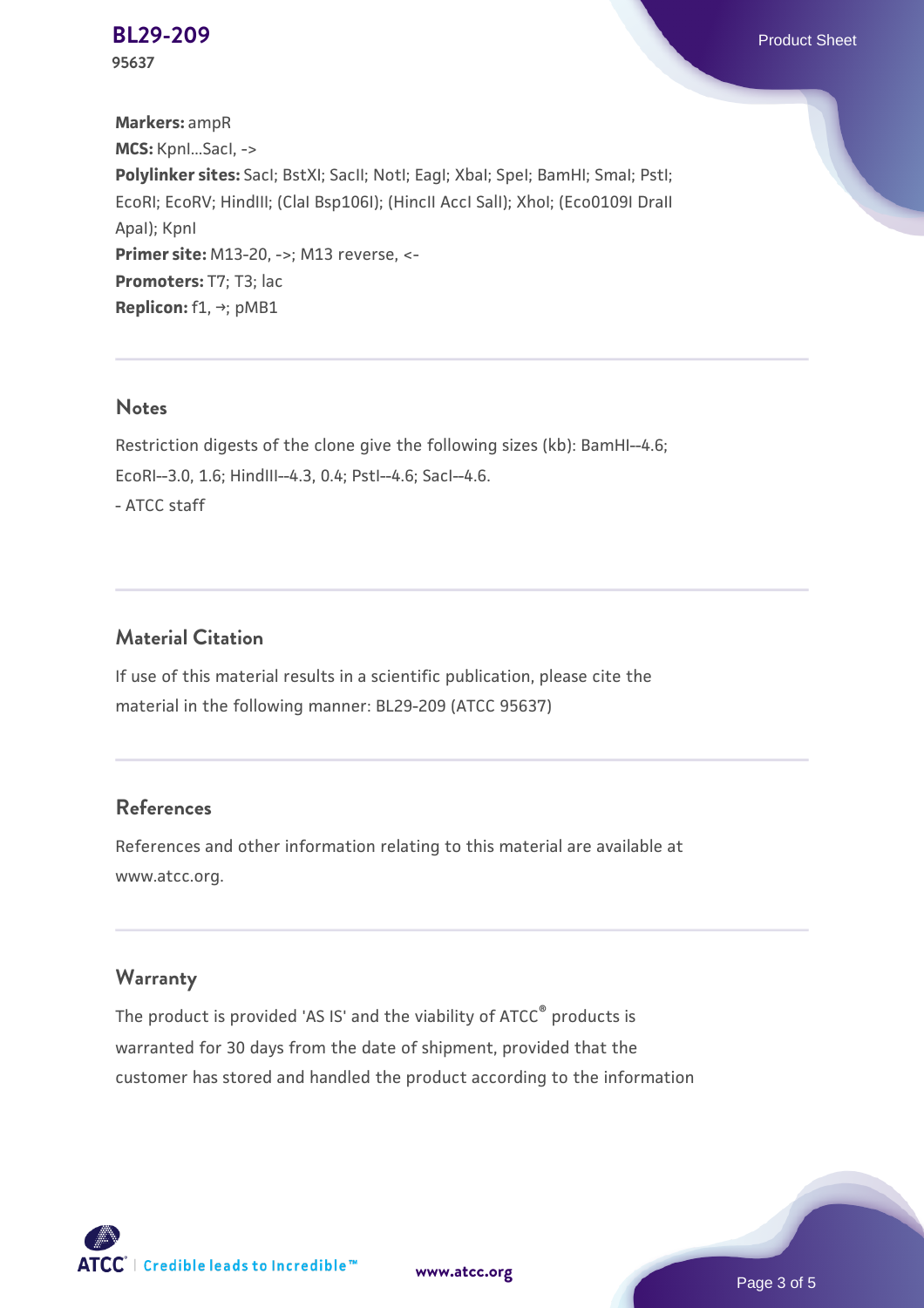**[BL29-209](https://www.atcc.org/products/95637)** Product Sheet **95637**

**Markers:** ampR **MCS:** KpnI...SacI, -> **Polylinker sites:** SacI; BstXI; SacII; NotI; EagI; XbaI; SpeI; BamHI; SmaI; PstI; EcoRI; EcoRV; HindIII; (ClaI Bsp106I); (HincII AccI SalI); XhoI; (Eco0109I DraII ApaI); KpnI **Primer site:** M13-20, ->; M13 reverse, <-**Promoters:** T7; T3; lac **Replicon:** f1, →; pMB1

#### **Notes**

Restriction digests of the clone give the following sizes (kb): BamHI--4.6; EcoRI--3.0, 1.6; HindIII--4.3, 0.4; PstI--4.6; SacI--4.6. - ATCC staff

## **Material Citation**

If use of this material results in a scientific publication, please cite the material in the following manner: BL29-209 (ATCC 95637)

## **References**

References and other information relating to this material are available at www.atcc.org.

#### **Warranty**

The product is provided 'AS IS' and the viability of ATCC® products is warranted for 30 days from the date of shipment, provided that the customer has stored and handled the product according to the information



**[www.atcc.org](http://www.atcc.org)**

Page 3 of 5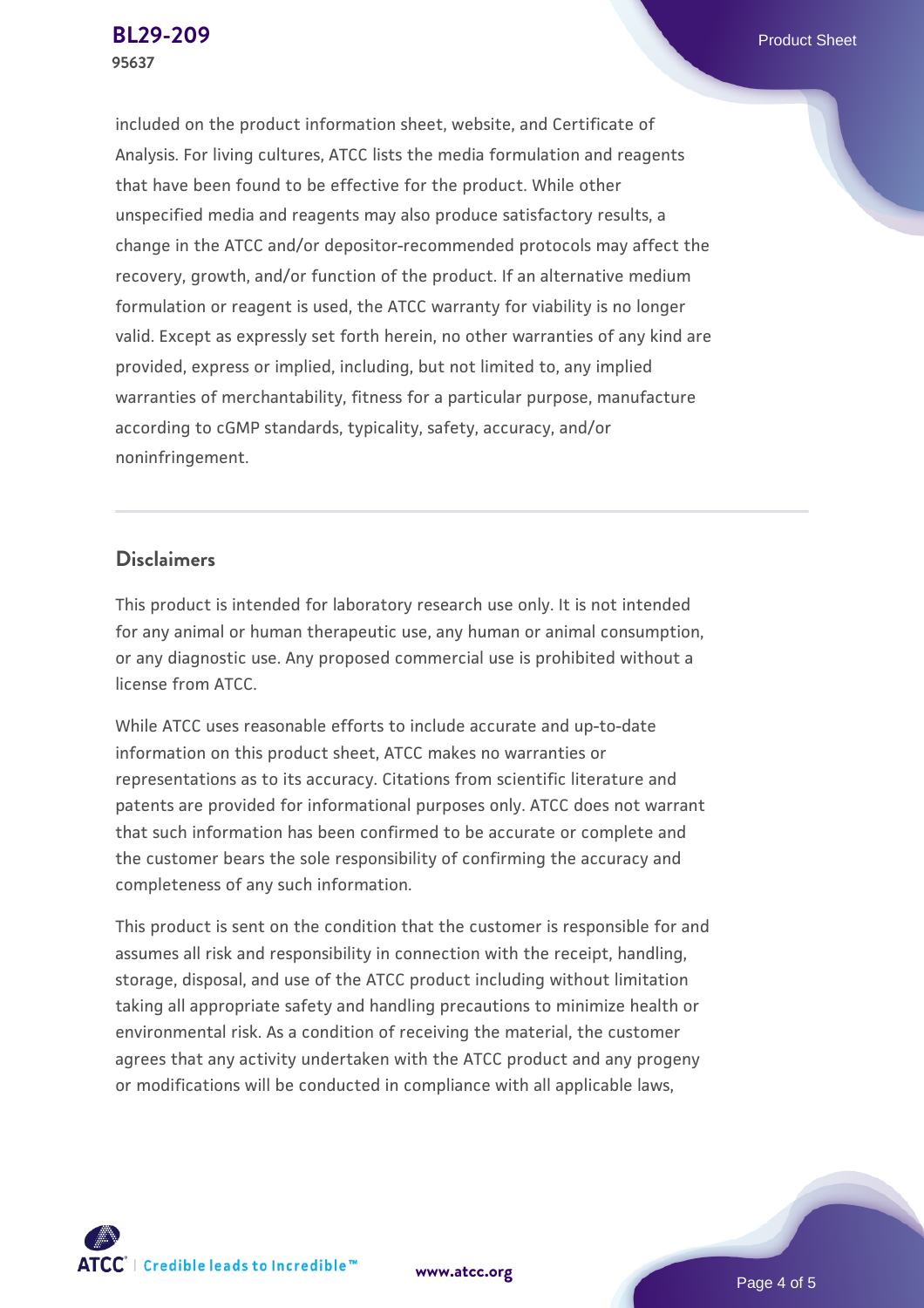included on the product information sheet, website, and Certificate of Analysis. For living cultures, ATCC lists the media formulation and reagents that have been found to be effective for the product. While other unspecified media and reagents may also produce satisfactory results, a change in the ATCC and/or depositor-recommended protocols may affect the recovery, growth, and/or function of the product. If an alternative medium formulation or reagent is used, the ATCC warranty for viability is no longer valid. Except as expressly set forth herein, no other warranties of any kind are provided, express or implied, including, but not limited to, any implied warranties of merchantability, fitness for a particular purpose, manufacture according to cGMP standards, typicality, safety, accuracy, and/or noninfringement.

#### **Disclaimers**

This product is intended for laboratory research use only. It is not intended for any animal or human therapeutic use, any human or animal consumption, or any diagnostic use. Any proposed commercial use is prohibited without a license from ATCC.

While ATCC uses reasonable efforts to include accurate and up-to-date information on this product sheet, ATCC makes no warranties or representations as to its accuracy. Citations from scientific literature and patents are provided for informational purposes only. ATCC does not warrant that such information has been confirmed to be accurate or complete and the customer bears the sole responsibility of confirming the accuracy and completeness of any such information.

This product is sent on the condition that the customer is responsible for and assumes all risk and responsibility in connection with the receipt, handling, storage, disposal, and use of the ATCC product including without limitation taking all appropriate safety and handling precautions to minimize health or environmental risk. As a condition of receiving the material, the customer agrees that any activity undertaken with the ATCC product and any progeny or modifications will be conducted in compliance with all applicable laws,

**[www.atcc.org](http://www.atcc.org)**

Page 4 of 5